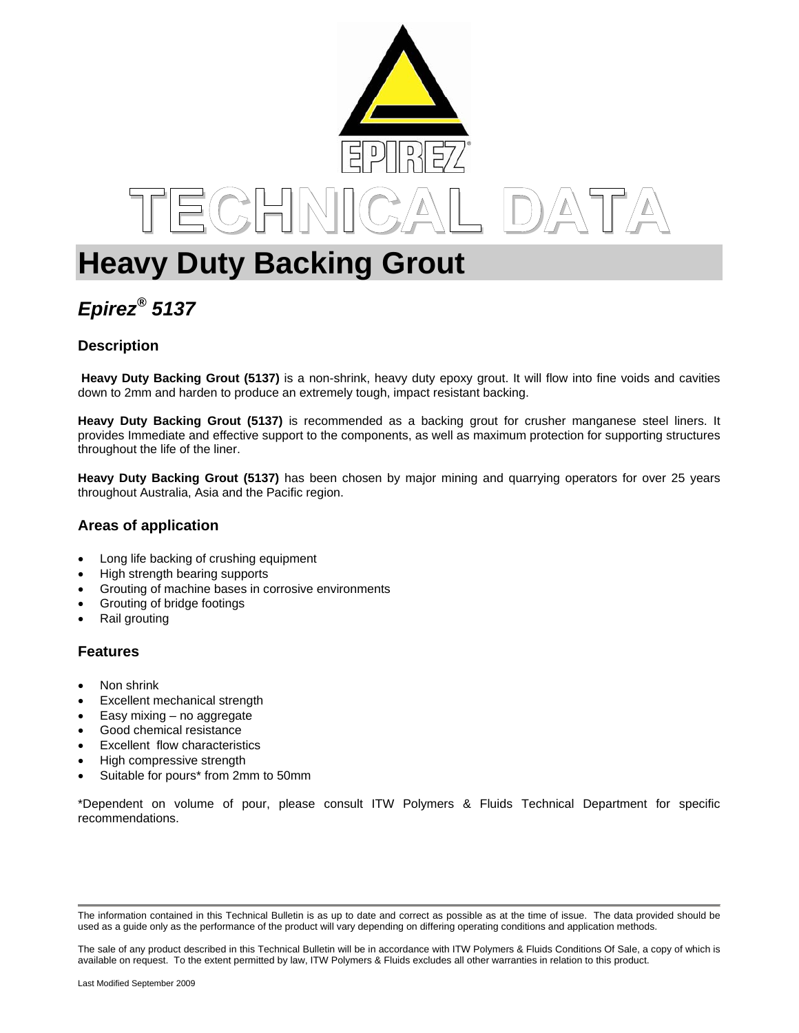

# **Heavy Duty Backing Grout**

# *Epirez® 5137*

## **Description**

 **Heavy Duty Backing Grout (5137)** is a non-shrink, heavy duty epoxy grout. It will flow into fine voids and cavities down to 2mm and harden to produce an extremely tough, impact resistant backing.

**Heavy Duty Backing Grout (5137)** is recommended as a backing grout for crusher manganese steel liners. It provides Immediate and effective support to the components, as well as maximum protection for supporting structures throughout the life of the liner.

**Heavy Duty Backing Grout (5137)** has been chosen by major mining and quarrying operators for over 25 years throughout Australia, Asia and the Pacific region.

### **Areas of application**

- Long life backing of crushing equipment
- High strength bearing supports
- Grouting of machine bases in corrosive environments
- Grouting of bridge footings
- Rail grouting

#### **Features**

- Non shrink
- Excellent mechanical strength
- Easy mixing no aggregate
- Good chemical resistance
- Excellent flow characteristics
- High compressive strength
- Suitable for pours\* from 2mm to 50mm

\*Dependent on volume of pour, please consult ITW Polymers & Fluids Technical Department for specific recommendations.

The information contained in this Technical Bulletin is as up to date and correct as possible as at the time of issue. The data provided should be used as a guide only as the performance of the product will vary depending on differing operating conditions and application methods.

The sale of any product described in this Technical Bulletin will be in accordance with ITW Polymers & Fluids Conditions Of Sale, a copy of which is available on request. To the extent permitted by law, ITW Polymers & Fluids excludes all other warranties in relation to this product.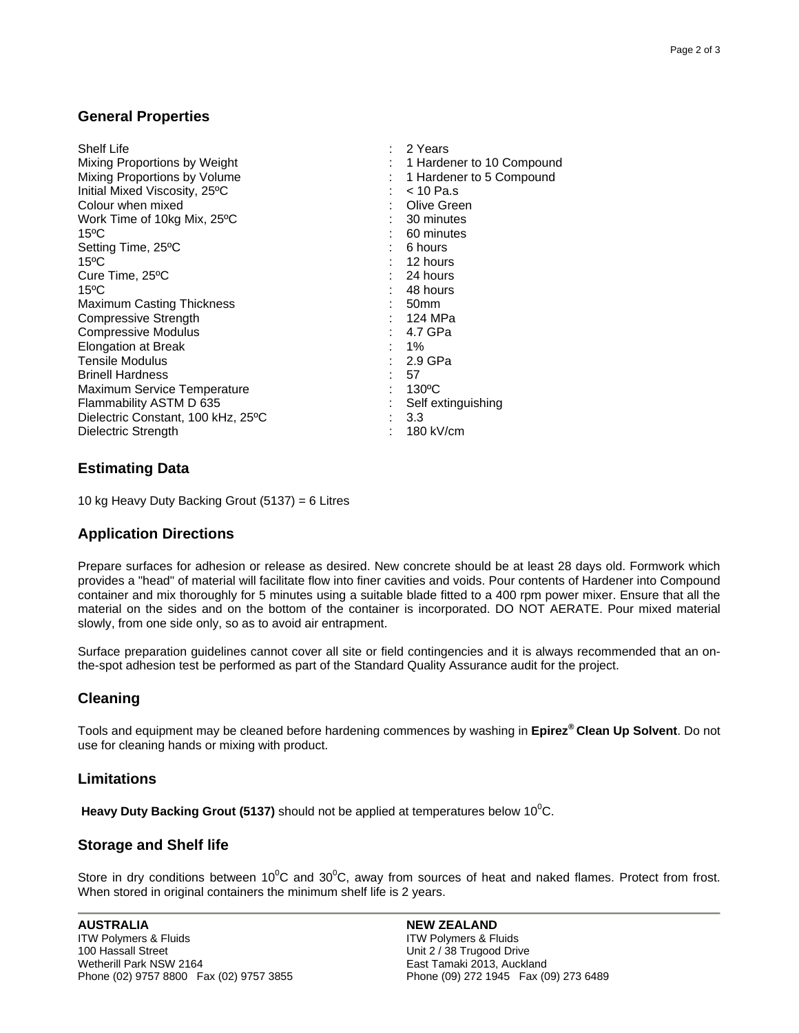#### **General Properties**

| <b>Shelf Life</b>                  |    | $: 2$ Years                 |
|------------------------------------|----|-----------------------------|
| Mixing Proportions by Weight       |    | : 1 Hardener to 10 Compound |
| Mixing Proportions by Volume       | ÷. | 1 Hardener to 5 Compound    |
| Initial Mixed Viscosity, 25°C      | t. | $<$ 10 Pa.s                 |
| Colour when mixed                  |    | Olive Green                 |
| Work Time of 10kg Mix, 25°C        |    | $: 30$ minutes              |
| $15^{\circ}$ C                     |    | $: 60$ minutes              |
| Setting Time, 25°C                 |    | : 6 hours                   |
| $15^{\circ}$ C                     |    | 12 hours                    |
| Cure Time, 25°C                    |    | : 24 hours                  |
| $15^{\circ}$ C                     |    | 48 hours                    |
| <b>Maximum Casting Thickness</b>   |    | : 50mm                      |
| Compressive Strength               |    | 124 MPa                     |
| <b>Compressive Modulus</b>         |    | 4.7 GPa                     |
| <b>Elongation at Break</b>         |    | $1\%$                       |
| Tensile Modulus                    |    | : 2.9 GPa                   |
| <b>Brinell Hardness</b>            |    | : 57                        |
| <b>Maximum Service Temperature</b> |    | $: 130^{\circ}$ C           |
| Flammability ASTM D 635            |    | Self extinguishing          |
| Dielectric Constant, 100 kHz, 25°C |    | 3.3                         |
| Dielectric Strength                |    | 180 kV/cm                   |

#### **Estimating Data**

10 kg Heavy Duty Backing Grout (5137) = 6 Litres

#### **Application Directions**

Prepare surfaces for adhesion or release as desired. New concrete should be at least 28 days old. Formwork which provides a "head" of material will facilitate flow into finer cavities and voids. Pour contents of Hardener into Compound container and mix thoroughly for 5 minutes using a suitable blade fitted to a 400 rpm power mixer. Ensure that all the material on the sides and on the bottom of the container is incorporated. DO NOT AERATE. Pour mixed material slowly, from one side only, so as to avoid air entrapment.

Surface preparation guidelines cannot cover all site or field contingencies and it is always recommended that an onthe-spot adhesion test be performed as part of the Standard Quality Assurance audit for the project.

#### **Cleaning**

Tools and equipment may be cleaned before hardening commences by washing in **Epirez® Clean Up Solvent**. Do not use for cleaning hands or mixing with product.

#### **Limitations**

Heavy Duty Backing Grout (5137) should not be applied at temperatures below 10<sup>0</sup>C.

#### **Storage and Shelf life**

Store in dry conditions between 10<sup>o</sup>C and 30<sup>o</sup>C, away from sources of heat and naked flames. Protect from frost. When stored in original containers the minimum shelf life is 2 years.

**NEW ZEALAND**  ITW Polymers & Fluids Unit 2 / 38 Trugood Drive East Tamaki 2013, Auckland Phone (09) 272 1945 Fax (09) 273 6489